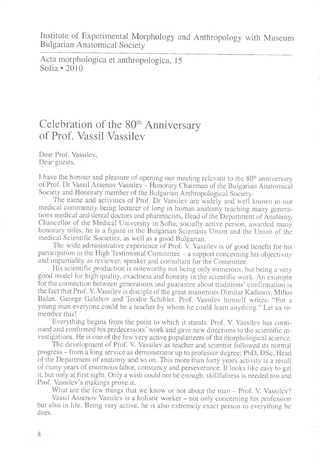Institute of Experimental Morphology and Anthropology with Museum Bulgarian Anatomical Society

Acta morphologica et anthropologica, 15 Sofia  $\bullet$  2010

## Celebration of the 80<sup>th</sup> Anniversary of Prof. Vassil Vassilev

Dear Prof. Vassilev, Dear guests,

I have the honour and pleasure of opening our meeting relevant to the 80<sup>th</sup> anniversary of Prof. Dr Vassil Assenov Vassilev - Honorary Chairman of the Bulgarian Anatomical Society and Honorary member of the Bulgarian Anthropological Society.

The name and activities of Prof. Dr Vassilev are widely and well known in our medical community being lecturer of long in human anatomy teaching many generations medical and dental doctors and pharmacists, Head of the Department of Anatomy, Chancellor of the Medical University in Sofia, socially active person, awarded many honorary titles, he is a figure in the Bulgarian Scientists Union and the Union of the medical Scientific Societies, as well as a good Bulgarian.

The wide administrative experience of Prof.  $\overline{V}$ . Vassilev is of good benefit for his participation in the High Testimonial Committee - a support concerning his objectivity and impartiality as reviewer, speaker and consultant for the Committee.

His scientific production is noteworthy not being only numerous, but being a very good model for high quality, exactness and honesty in the scientific work. An example for the connection between generations and guarantee about traditions' confirmation is the fact that Prof. V. Vassilev is disciple of the great anatomists Dimitar Kadanov, Milko Balan, George Galabov and Teodor Schibler. Prof. Vassilev himself writes: "For a young man everyone could be a teacher by whom he could leam anything." Let us remember this!

Everything begins from the point to which it stands. Prof. V. Vassilev has continued and confirmed his predecessors' work and gave new directions to the scientific investigations. He is one of the few very active popularizers of the morphological science.

The development of Prof. V. Vassilev as teacher and scientist followed its normal progress - from a long service as demonstrator up to professor degree; PhD, DSc, Head of the Department of anatomy and so on. This more than forty years activity is a result of many years of enormous labor, constancy and perseverance. It looks like easy to get it, but only at first sight. Only a wish could not be enough, skillfulness is needed too and Prof. Vassilev's makings prove it.

What are the few things that we know or not about the man – Prof. V. Vassilev?

Vassil Assenov Vassilev is a holistic worker – not only concerning his profession but also in life. Being very active, he is also extremely exact person in everything he does.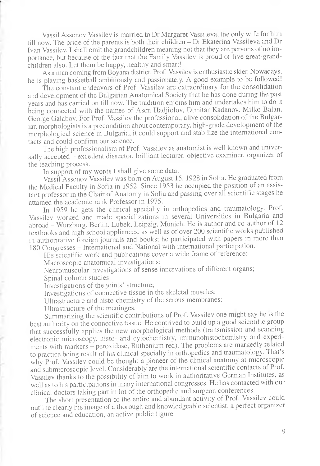Vassil Assenov Vassilev is married to Dr Margaret Vassileva, the only wife for him till now. The pride of the parents is both their children – Dr Ekaterina Vassileva and Dr Ivan Vassilev. I shall omit the grandchildren meaning not that they are persons of no importance, but because of the fact that the Family Vassilev is proud of five great-grandchildren also. Let them be happy, healthy and smart!

As a man coming from Boyana district. Prof. Vassilev is enthusiastic skier. Nowadays, he is playing basketball ambitiously and passionately. A good example to be followed!

The constant endeavors of Prof. Vassilev are extraordinary for the consolidation and development of the Bulgarian Anatomical Society that he has done during the past years and has carried on till now. The tradition enjoins him and undertakes him to do it being connected with the names of Asen Hadjiolov, Dimitar Kadanov, Milko Balan, George Galabov. For Prof. Vassilev the professional, alive consolidation of the Bulgarian morphologists is a precondition about contemporary, high-grade development of the morphological science in Bulgaria, it could support and stabilize the international contacts and could confirm our science.

The high professionalism of Prof. Vassilev as anatomist is well known and universally accepted - excellent dissector, brilliant lecturer, objective examiner, organizer of the teaching process.

In support of my words I shall give some data.

Vassil Assenov Vassilev was born on August 15, 1928 in Sofia. He graduated from the Medical Faculty in Sofia in 1952. Since 1953 he occupied the position of an assistant professor in the Chair of Anatomy in Sofia and passing over all scientific stages he attained the academic rank Professor in 1975.

In 1959 he gets the clinical specialty in orthopedics and traumatology. Prof. Vassilev worked and made specializations in several Universities in Bulgaria and abroad - Wurzburg, Berlin, Lubek, Leipzig, Munich. He is author and co-author of 12 textbooks and high school appliances, as well as of over 200 scientific works published in authoritative foreign journals and books; he participated with papers in more than 180 Congresses - International and National with international participation.

His scientific work and publications cover a wide frame of reference:

Macroscopic anatomical investigations;

Neuromuscular investigations of sense innervations of different organs;

Spinal column studies

Investigations of the joints' structure;

Investigations of connective tissue in the skeletal muscles;

Ultrastructure and histo-chemistry of the serous membranes;

Ultrastructure of the meninges.

Summarizing the scientific contributions of Prof. Vassilev one might say he is the best authority on the connective tissue. He contrived to build up a good scientific group that successfully applies the new morphological methods (transmission and scanning electronic microscopy, histo- and cytochemistry, immunohistochemistry and experiments with markers - peroxidase. Ruthenium red). The problems are markedly related to practice being result of his clinical specialty in orthopedics and traumatology. That's why Prof. Vassilev could be thought a pioneer of the clinical anatomy at microscopic and submicroscopic level. Considerably are the international scientific contacts of Prof. Vassilev thanks to the possibility of him to work in authoritative German Institutes, as well as to his participations in many international congresses. He has contacted with our clinical doctors taking part in lot of the orthopedic and surgeon conferences.

The short presentation of the entire and abundant activity of Prof. Vassilev could outline clearly his image of a thorough and knowledgeable scientist, a perfect organizer of science and education, an active public figure.